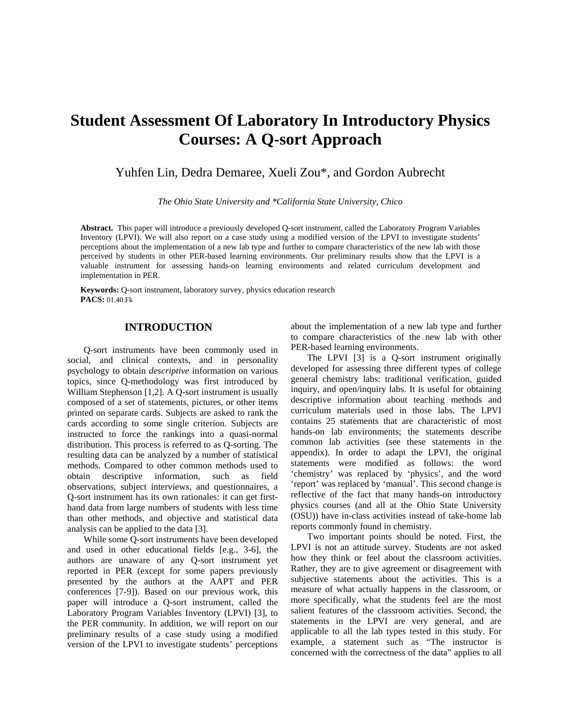# **Student Assessment Of Laboratory In Introductory Physics Courses: A Q-sort Approach**

Yuhfen Lin, Dedra Demaree, Xueli Zou\*, and Gordon Aubrecht

*The Ohio State University and \*California State University, Chico* 

**Abstract.** This paper will introduce a previously developed Q-sort instrument, called the Laboratory Program Variables Inventory (LPVI). We will also report on a case study using a modified version of the LPVI to investigate students' perceptions about the implementation of a new lab type and further to compare characteristics of the new lab with those perceived by students in other PER-based learning environments. Our preliminary results show that the LPVI is a valuable instrument for assessing hands-on learning environments and related curriculum development and implementation in PER.

**Keywords:** Q-sort instrument, laboratory survey, physics education research **PACS:** 01.40.Fk

## **INTRODUCTION**

Q-sort instruments have been commonly used in social, and clinical contexts, and in personality psychology to obtain *descriptive* information on various topics, since Q-methodology was first introduced by William Stephenson [1,2]. A Q-sort instrument is usually composed of a set of statements, pictures, or other items printed on separate cards. Subjects are asked to rank the cards according to some single criterion. Subjects are instructed to force the rankings into a quasi-normal distribution. This process is referred to as Q-sorting. The resulting data can be analyzed by a number of statistical methods. Compared to other common methods used to obtain descriptive information, such as field observations, subject interviews, and questionnaires, a Q-sort instrument has its own rationales: it can get firsthand data from large numbers of students with less time than other methods, and objective and statistical data analysis can be applied to the data [3].

While some Q-sort instruments have been developed and used in other educational fields [e.g., 3-6], the authors are unaware of any Q-sort instrument yet reported in PER (except for some papers previously presented by the authors at the AAPT and PER conferences [7-9]). Based on our previous work, this paper will introduce a Q-sort instrument, called the Laboratory Program Variables Inventory (LPVI) [3], to the PER community. In addition, we will report on our preliminary results of a case study using a modified version of the LPVI to investigate students' perceptions

about the implementation of a new lab type and further to compare characteristics of the new lab with other PER-based learning environments.

The LPVI [3] is a Q-sort instrument originally developed for assessing three different types of college general chemistry labs: traditional verification, guided inquiry, and open/inquiry labs. It is useful for obtaining descriptive information about teaching methods and curriculum materials used in those labs. The LPVI contains 25 statements that are characteristic of most hands-on lab environments; the statements describe common lab activities (see these statements in the appendix). In order to adapt the LPVI, the original statements were modified as follows: the word 'chemistry' was replaced by 'physics', and the word 'report' was replaced by 'manual'. This second change is reflective of the fact that many hands-on introductory physics courses (and all at the Ohio State University (OSU)) have in-class activities instead of take-home lab reports commonly found in chemistry.

Two important points should be noted. First, the LPVI is not an attitude survey. Students are not asked how they think or feel about the classroom activities. Rather, they are to give agreement or disagreement with subjective statements about the activities. This is a measure of what actually happens in the classroom, or more specifically, what the students feel are the most salient features of the classroom activities. Second, the statements in the LPVI are very general, and are applicable to all the lab types tested in this study. For example, a statement such as "The instructor is concerned with the correctness of the data" applies to all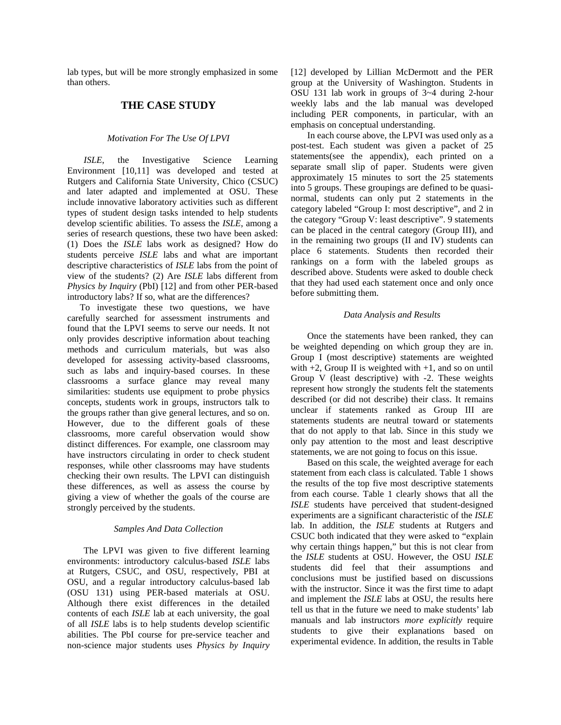lab types, but will be more strongly emphasized in some than others.

## **THE CASE STUDY**

### *Motivation For The Use Of LPVI*

*ISLE*, the Investigative Science Learning Environment [10,11] was developed and tested at Rutgers and California State University, Chico (CSUC) and later adapted and implemented at OSU. These include innovative laboratory activities such as different types of student design tasks intended to help students develop scientific abilities. To assess the *ISLE*, among a series of research questions, these two have been asked: (1) Does the *ISLE* labs work as designed? How do students perceive *ISLE* labs and what are important descriptive characteristics of *ISLE* labs from the point of view of the students? (2) Are *ISLE* labs different from *Physics by Inquiry* (PbI) [12] and from other PER-based introductory labs? If so, what are the differences?

To investigate these two questions, we have carefully searched for assessment instruments and found that the LPVI seems to serve our needs. It not only provides descriptive information about teaching methods and curriculum materials, but was also developed for assessing activity-based classrooms, such as labs and inquiry-based courses. In these classrooms a surface glance may reveal many similarities: students use equipment to probe physics concepts, students work in groups, instructors talk to the groups rather than give general lectures, and so on. However, due to the different goals of these classrooms, more careful observation would show distinct differences. For example, one classroom may have instructors circulating in order to check student responses, while other classrooms may have students checking their own results. The LPVI can distinguish these differences, as well as assess the course by giving a view of whether the goals of the course are strongly perceived by the students.

#### *Samples And Data Collection*

The LPVI was given to five different learning environments: introductory calculus-based *ISLE* labs at Rutgers, CSUC, and OSU, respectively, PBI at OSU, and a regular introductory calculus-based lab (OSU 131) using PER-based materials at OSU. Although there exist differences in the detailed contents of each *ISLE* lab at each university, the goal of all *ISLE* labs is to help students develop scientific abilities. The PbI course for pre-service teacher and non-science major students uses *Physics by Inquiry* [12] developed by Lillian McDermott and the PER group at the University of Washington. Students in OSU 131 lab work in groups of 3~4 during 2-hour weekly labs and the lab manual was developed including PER components, in particular, with an emphasis on conceptual understanding.

In each course above, the LPVI was used only as a post-test. Each student was given a packet of 25 statements(see the appendix), each printed on a separate small slip of paper. Students were given approximately 15 minutes to sort the 25 statements into 5 groups. These groupings are defined to be quasinormal, students can only put 2 statements in the category labeled "Group I: most descriptive", and 2 in the category "Group V: least descriptive". 9 statements can be placed in the central category (Group III), and in the remaining two groups (II and IV) students can place 6 statements. Students then recorded their rankings on a form with the labeled groups as described above. Students were asked to double check that they had used each statement once and only once before submitting them.

#### *Data Analysis and Results*

Once the statements have been ranked, they can be weighted depending on which group they are in. Group I (most descriptive) statements are weighted with  $+2$ , Group II is weighted with  $+1$ , and so on until Group V (least descriptive) with -2. These weights represent how strongly the students felt the statements described (or did not describe) their class. It remains unclear if statements ranked as Group III are statements students are neutral toward or statements that do not apply to that lab. Since in this study we only pay attention to the most and least descriptive statements, we are not going to focus on this issue.

Based on this scale, the weighted average for each statement from each class is calculated. Table 1 shows the results of the top five most descriptive statements from each course. Table 1 clearly shows that all the *ISLE* students have perceived that student-designed experiments are a significant characteristic of the *ISLE* lab. In addition, the *ISLE* students at Rutgers and CSUC both indicated that they were asked to "explain why certain things happen," but this is not clear from the *ISLE* students at OSU. However, the OSU *ISLE* students did feel that their assumptions and conclusions must be justified based on discussions with the instructor. Since it was the first time to adapt and implement the *ISLE* labs at OSU, the results here tell us that in the future we need to make students' lab manuals and lab instructors *more explicitly* require students to give their explanations based on experimental evidence. In addition, the results in Table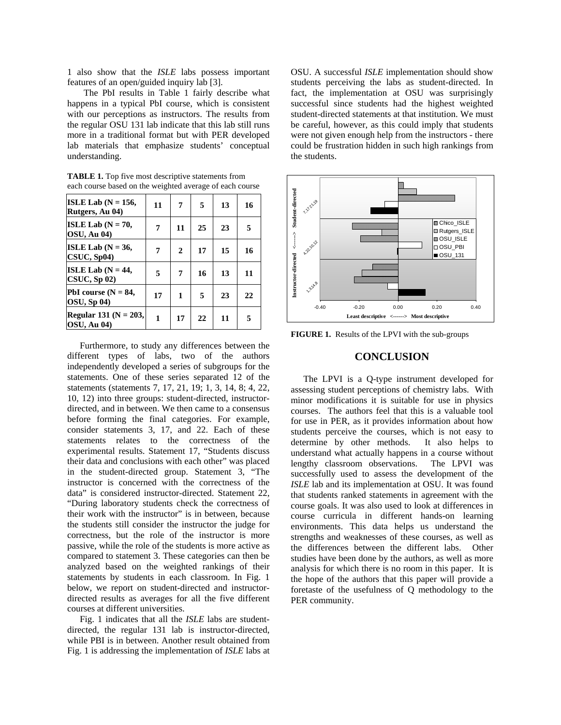1 also show that the *ISLE* labs possess important features of an open/guided inquiry lab [3].

The PbI results in Table 1 fairly describe what happens in a typical PbI course, which is consistent with our perceptions as instructors. The results from the regular OSU 131 lab indicate that this lab still runs more in a traditional format but with PER developed lab materials that emphasize students' conceptual understanding.

| ISLE Lab ( $N = 156$ ,<br>Rutgers, Au 04)          | 11 | 7  | 5  | 13 | 16 |
|----------------------------------------------------|----|----|----|----|----|
| ISLE Lab $(N = 70$ ,<br><b>OSU, Au 04)</b>         | 7  | 11 | 25 | 23 | 5  |
| ISLE Lab ( $N = 36$ ,<br>CSUC, Sp04)               | 7  | 2  | 17 | 15 | 16 |
| ISLE Lab $(N = 44,$<br>CSUC, Sp 02)                | 5  | 7  | 16 | 13 | 11 |
| PbI course $(N = 84,$<br><b>OSU, Sp 04)</b>        | 17 | 1  | 5  | 23 | 22 |
| <b>Regular 131 (N = 203,</b><br><b>OSU, Au 04)</b> | 1  | 17 | 22 | 11 | 5  |

**TABLE 1.** Top five most descriptive statements from each course based on the weighted average of each course

Furthermore, to study any differences between the different types of labs, two of the authors independently developed a series of subgroups for the statements. One of these series separated 12 of the statements (statements 7, 17, 21, 19; 1, 3, 14, 8; 4, 22, 10, 12) into three groups: student-directed, instructordirected, and in between. We then came to a consensus before forming the final categories. For example, consider statements 3, 17, and 22. Each of these statements relates to the correctness of the experimental results. Statement 17, "Students discuss their data and conclusions with each other" was placed in the student-directed group. Statement 3, "The instructor is concerned with the correctness of the data" is considered instructor-directed. Statement 22, "During laboratory students check the correctness of their work with the instructor" is in between, because the students still consider the instructor the judge for correctness, but the role of the instructor is more passive, while the role of the students is more active as compared to statement 3. These categories can then be analyzed based on the weighted rankings of their statements by students in each classroom. In Fig. 1 below, we report on student-directed and instructordirected results as averages for all the five different courses at different universities.

Fig. 1 indicates that all the *ISLE* labs are studentdirected, the regular 131 lab is instructor-directed, while PBI is in between. Another result obtained from Fig. 1 is addressing the implementation of *ISLE* labs at OSU. A successful *ISLE* implementation should show students perceiving the labs as student-directed. In fact, the implementation at OSU was surprisingly successful since students had the highest weighted student-directed statements at that institution. We must be careful, however, as this could imply that students were not given enough help from the instructors - there could be frustration hidden in such high rankings from the students.



**FIGURE 1.** Results of the LPVI with the sub-groups

## **CONCLUSION**

The LPVI is a Q-type instrument developed for assessing student perceptions of chemistry labs. With minor modifications it is suitable for use in physics courses. The authors feel that this is a valuable tool for use in PER, as it provides information about how students perceive the courses, which is not easy to determine by other methods. It also helps to understand what actually happens in a course without lengthy classroom observations. The LPVI was successfully used to assess the development of the *ISLE* lab and its implementation at OSU. It was found that students ranked statements in agreement with the course goals. It was also used to look at differences in course curricula in different hands-on learning environments. This data helps us understand the strengths and weaknesses of these courses, as well as the differences between the different labs. Other studies have been done by the authors, as well as more analysis for which there is no room in this paper. It is the hope of the authors that this paper will provide a foretaste of the usefulness of Q methodology to the PER community.